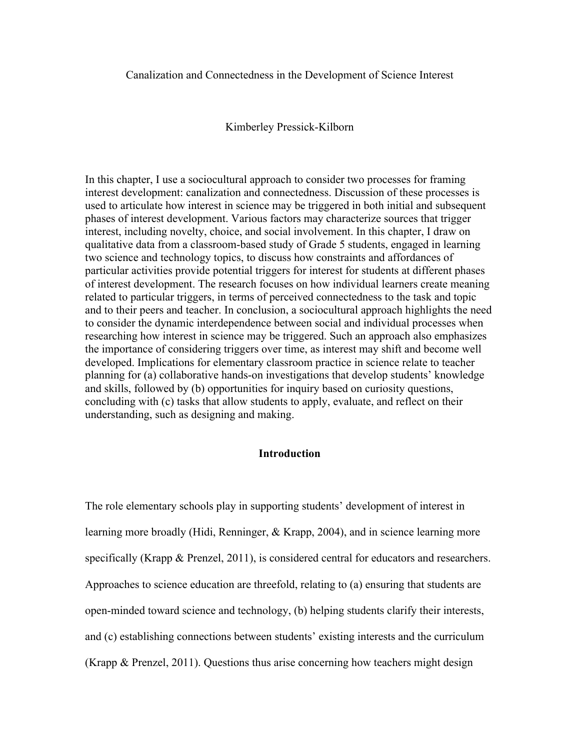Canalization and Connectedness in the Development of Science Interest

Kimberley Pressick-Kilborn

In this chapter, I use a sociocultural approach to consider two processes for framing interest development: canalization and connectedness. Discussion of these processes is used to articulate how interest in science may be triggered in both initial and subsequent phases of interest development. Various factors may characterize sources that trigger interest, including novelty, choice, and social involvement. In this chapter, I draw on qualitative data from a classroom-based study of Grade 5 students, engaged in learning two science and technology topics, to discuss how constraints and affordances of particular activities provide potential triggers for interest for students at different phases of interest development. The research focuses on how individual learners create meaning related to particular triggers, in terms of perceived connectedness to the task and topic and to their peers and teacher. In conclusion, a sociocultural approach highlights the need to consider the dynamic interdependence between social and individual processes when researching how interest in science may be triggered. Such an approach also emphasizes the importance of considering triggers over time, as interest may shift and become well developed. Implications for elementary classroom practice in science relate to teacher planning for (a) collaborative hands-on investigations that develop students' knowledge and skills, followed by (b) opportunities for inquiry based on curiosity questions, concluding with (c) tasks that allow students to apply, evaluate, and reflect on their understanding, such as designing and making.

# **Introduction**

The role elementary schools play in supporting students' development of interest in learning more broadly (Hidi, Renninger, & Krapp, 2004), and in science learning more specifically (Krapp & Prenzel, 2011), is considered central for educators and researchers. Approaches to science education are threefold, relating to (a) ensuring that students are open-minded toward science and technology, (b) helping students clarify their interests, and (c) establishing connections between students' existing interests and the curriculum (Krapp & Prenzel, 2011). Questions thus arise concerning how teachers might design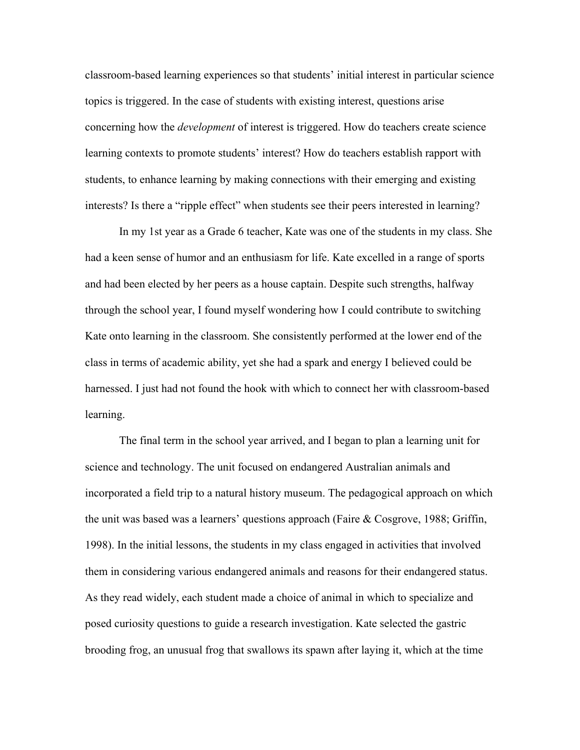classroom-based learning experiences so that students' initial interest in particular science topics is triggered. In the case of students with existing interest, questions arise concerning how the *development* of interest is triggered. How do teachers create science learning contexts to promote students' interest? How do teachers establish rapport with students, to enhance learning by making connections with their emerging and existing interests? Is there a "ripple effect" when students see their peers interested in learning?

In my 1st year as a Grade 6 teacher, Kate was one of the students in my class. She had a keen sense of humor and an enthusiasm for life. Kate excelled in a range of sports and had been elected by her peers as a house captain. Despite such strengths, halfway through the school year, I found myself wondering how I could contribute to switching Kate onto learning in the classroom. She consistently performed at the lower end of the class in terms of academic ability, yet she had a spark and energy I believed could be harnessed. I just had not found the hook with which to connect her with classroom-based learning.

The final term in the school year arrived, and I began to plan a learning unit for science and technology. The unit focused on endangered Australian animals and incorporated a field trip to a natural history museum. The pedagogical approach on which the unit was based was a learners' questions approach (Faire & Cosgrove, 1988; Griffin, 1998). In the initial lessons, the students in my class engaged in activities that involved them in considering various endangered animals and reasons for their endangered status. As they read widely, each student made a choice of animal in which to specialize and posed curiosity questions to guide a research investigation. Kate selected the gastric brooding frog, an unusual frog that swallows its spawn after laying it, which at the time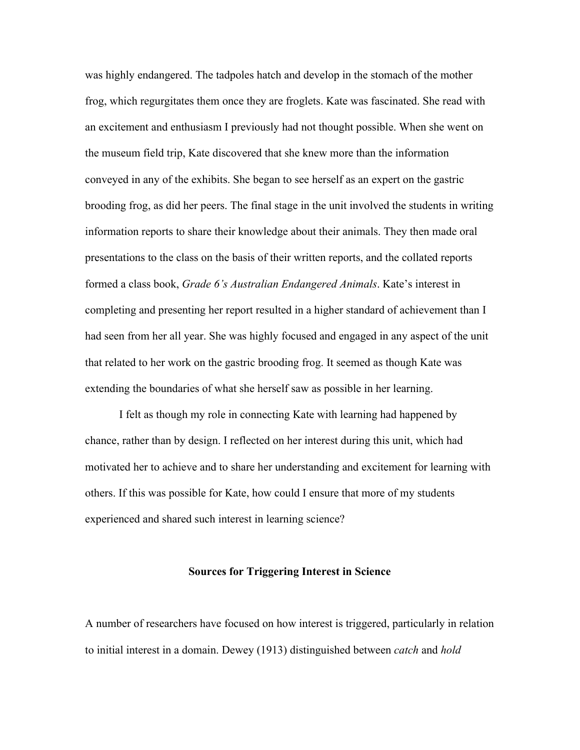was highly endangered. The tadpoles hatch and develop in the stomach of the mother frog, which regurgitates them once they are froglets. Kate was fascinated. She read with an excitement and enthusiasm I previously had not thought possible. When she went on the museum field trip, Kate discovered that she knew more than the information conveyed in any of the exhibits. She began to see herself as an expert on the gastric brooding frog, as did her peers. The final stage in the unit involved the students in writing information reports to share their knowledge about their animals. They then made oral presentations to the class on the basis of their written reports, and the collated reports formed a class book, *Grade 6's Australian Endangered Animals*. Kate's interest in completing and presenting her report resulted in a higher standard of achievement than I had seen from her all year. She was highly focused and engaged in any aspect of the unit that related to her work on the gastric brooding frog. It seemed as though Kate was extending the boundaries of what she herself saw as possible in her learning.

I felt as though my role in connecting Kate with learning had happened by chance, rather than by design. I reflected on her interest during this unit, which had motivated her to achieve and to share her understanding and excitement for learning with others. If this was possible for Kate, how could I ensure that more of my students experienced and shared such interest in learning science?

# **Sources for Triggering Interest in Science**

A number of researchers have focused on how interest is triggered, particularly in relation to initial interest in a domain. Dewey (1913) distinguished between *catch* and *hold*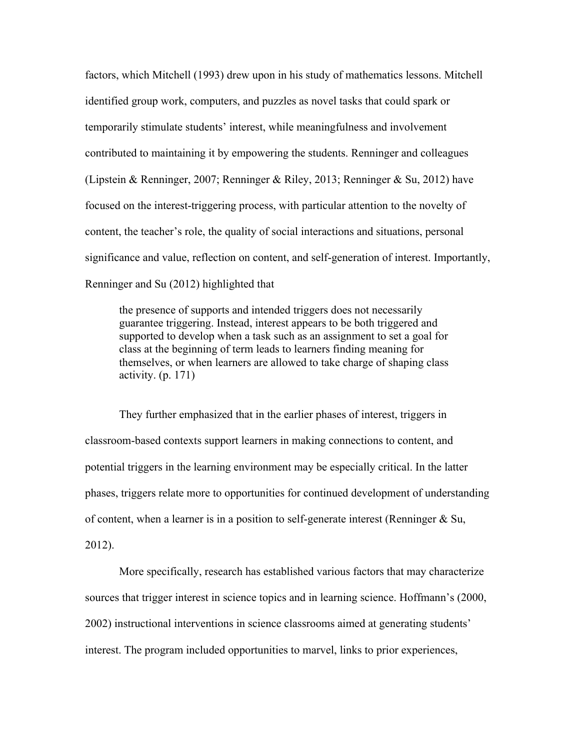factors, which Mitchell (1993) drew upon in his study of mathematics lessons. Mitchell identified group work, computers, and puzzles as novel tasks that could spark or temporarily stimulate students' interest, while meaningfulness and involvement contributed to maintaining it by empowering the students. Renninger and colleagues (Lipstein & Renninger, 2007; Renninger & Riley, 2013; Renninger & Su, 2012) have focused on the interest-triggering process, with particular attention to the novelty of content, the teacher's role, the quality of social interactions and situations, personal significance and value, reflection on content, and self-generation of interest. Importantly, Renninger and Su (2012) highlighted that

the presence of supports and intended triggers does not necessarily guarantee triggering. Instead, interest appears to be both triggered and supported to develop when a task such as an assignment to set a goal for class at the beginning of term leads to learners finding meaning for themselves, or when learners are allowed to take charge of shaping class activity. (p. 171)

They further emphasized that in the earlier phases of interest, triggers in classroom-based contexts support learners in making connections to content, and potential triggers in the learning environment may be especially critical. In the latter phases, triggers relate more to opportunities for continued development of understanding of content, when a learner is in a position to self-generate interest (Renninger  $\&$  Su, 2012).

More specifically, research has established various factors that may characterize sources that trigger interest in science topics and in learning science. Hoffmann's (2000, 2002) instructional interventions in science classrooms aimed at generating students' interest. The program included opportunities to marvel, links to prior experiences,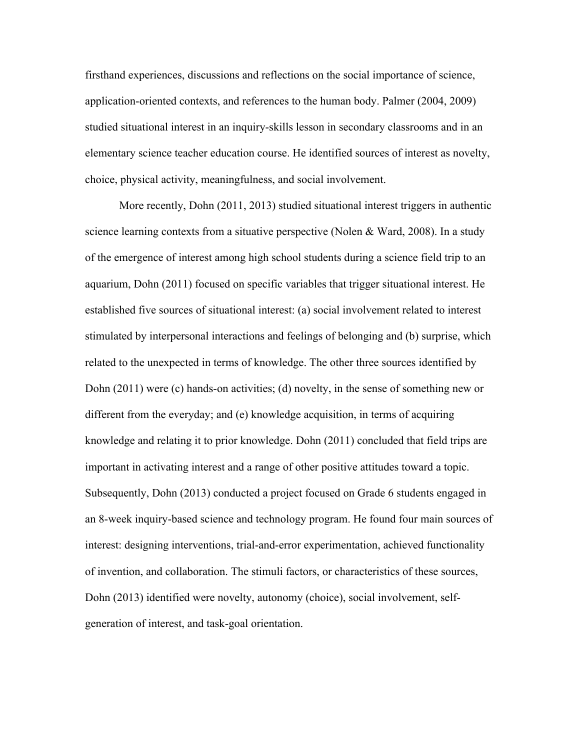firsthand experiences, discussions and reflections on the social importance of science, application-oriented contexts, and references to the human body. Palmer (2004, 2009) studied situational interest in an inquiry-skills lesson in secondary classrooms and in an elementary science teacher education course. He identified sources of interest as novelty, choice, physical activity, meaningfulness, and social involvement.

More recently, Dohn (2011, 2013) studied situational interest triggers in authentic science learning contexts from a situative perspective (Nolen & Ward, 2008). In a study of the emergence of interest among high school students during a science field trip to an aquarium, Dohn (2011) focused on specific variables that trigger situational interest. He established five sources of situational interest: (a) social involvement related to interest stimulated by interpersonal interactions and feelings of belonging and (b) surprise, which related to the unexpected in terms of knowledge. The other three sources identified by Dohn (2011) were (c) hands-on activities; (d) novelty, in the sense of something new or different from the everyday; and (e) knowledge acquisition, in terms of acquiring knowledge and relating it to prior knowledge. Dohn (2011) concluded that field trips are important in activating interest and a range of other positive attitudes toward a topic. Subsequently, Dohn (2013) conducted a project focused on Grade 6 students engaged in an 8-week inquiry-based science and technology program. He found four main sources of interest: designing interventions, trial-and-error experimentation, achieved functionality of invention, and collaboration. The stimuli factors, or characteristics of these sources, Dohn (2013) identified were novelty, autonomy (choice), social involvement, selfgeneration of interest, and task-goal orientation.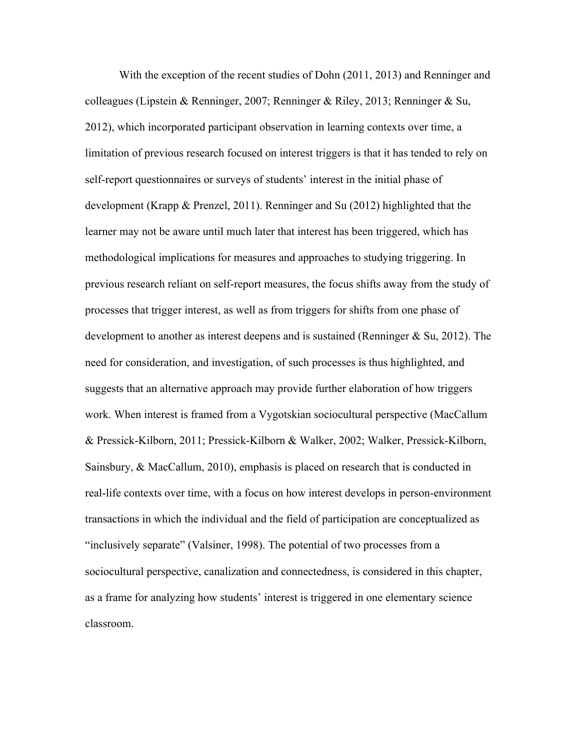With the exception of the recent studies of Dohn (2011, 2013) and Renninger and colleagues (Lipstein & Renninger, 2007; Renninger & Riley, 2013; Renninger & Su, 2012), which incorporated participant observation in learning contexts over time, a limitation of previous research focused on interest triggers is that it has tended to rely on self-report questionnaires or surveys of students' interest in the initial phase of development (Krapp & Prenzel, 2011). Renninger and Su (2012) highlighted that the learner may not be aware until much later that interest has been triggered, which has methodological implications for measures and approaches to studying triggering. In previous research reliant on self-report measures, the focus shifts away from the study of processes that trigger interest, as well as from triggers for shifts from one phase of development to another as interest deepens and is sustained (Renninger & Su, 2012). The need for consideration, and investigation, of such processes is thus highlighted, and suggests that an alternative approach may provide further elaboration of how triggers work. When interest is framed from a Vygotskian sociocultural perspective (MacCallum & Pressick-Kilborn, 2011; Pressick-Kilborn & Walker, 2002; Walker, Pressick-Kilborn, Sainsbury, & MacCallum, 2010), emphasis is placed on research that is conducted in real-life contexts over time, with a focus on how interest develops in person-environment transactions in which the individual and the field of participation are conceptualized as "inclusively separate" (Valsiner, 1998). The potential of two processes from a sociocultural perspective, canalization and connectedness, is considered in this chapter, as a frame for analyzing how students' interest is triggered in one elementary science classroom.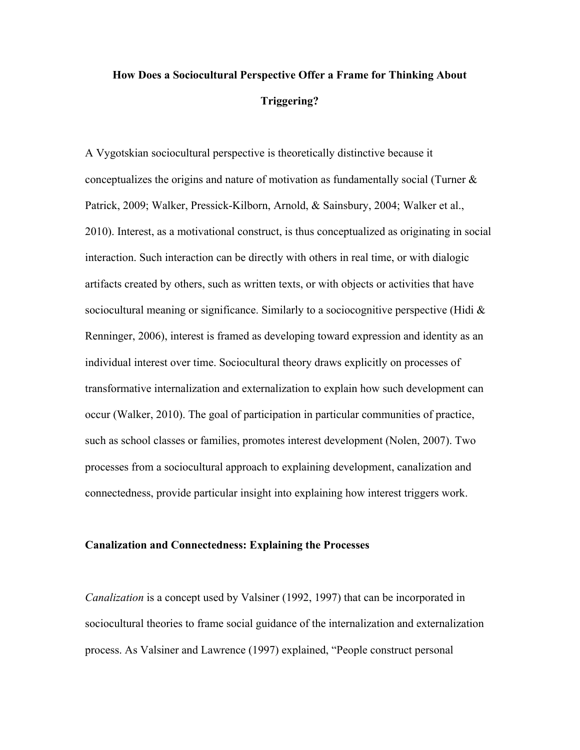# **How Does a Sociocultural Perspective Offer a Frame for Thinking About Triggering?**

A Vygotskian sociocultural perspective is theoretically distinctive because it conceptualizes the origins and nature of motivation as fundamentally social (Turner  $\&$ Patrick, 2009; Walker, Pressick-Kilborn, Arnold, & Sainsbury, 2004; Walker et al., 2010). Interest, as a motivational construct, is thus conceptualized as originating in social interaction. Such interaction can be directly with others in real time, or with dialogic artifacts created by others, such as written texts, or with objects or activities that have sociocultural meaning or significance. Similarly to a sociocognitive perspective (Hidi  $\&$ Renninger, 2006), interest is framed as developing toward expression and identity as an individual interest over time. Sociocultural theory draws explicitly on processes of transformative internalization and externalization to explain how such development can occur (Walker, 2010). The goal of participation in particular communities of practice, such as school classes or families, promotes interest development (Nolen, 2007). Two processes from a sociocultural approach to explaining development, canalization and connectedness, provide particular insight into explaining how interest triggers work.

#### **Canalization and Connectedness: Explaining the Processes**

*Canalization* is a concept used by Valsiner (1992, 1997) that can be incorporated in sociocultural theories to frame social guidance of the internalization and externalization process. As Valsiner and Lawrence (1997) explained, "People construct personal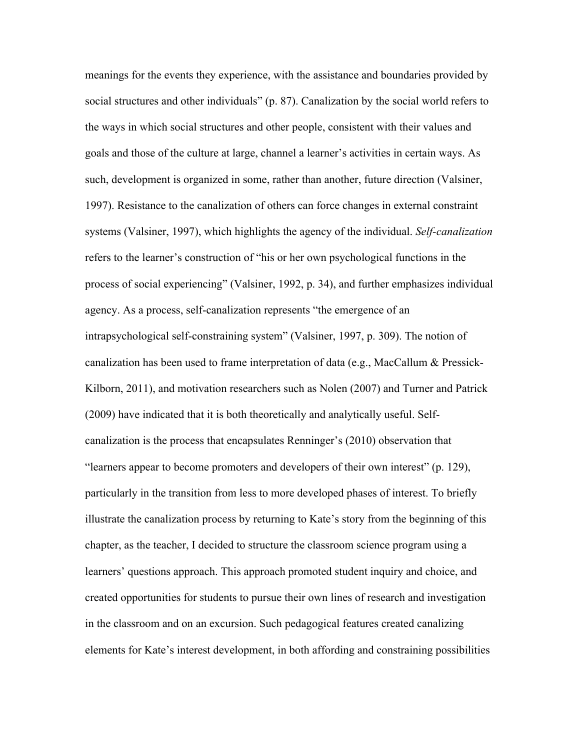meanings for the events they experience, with the assistance and boundaries provided by social structures and other individuals" (p. 87). Canalization by the social world refers to the ways in which social structures and other people, consistent with their values and goals and those of the culture at large, channel a learner's activities in certain ways. As such, development is organized in some, rather than another, future direction (Valsiner, 1997). Resistance to the canalization of others can force changes in external constraint systems (Valsiner, 1997), which highlights the agency of the individual. *Self-canalization* refers to the learner's construction of "his or her own psychological functions in the process of social experiencing" (Valsiner, 1992, p. 34), and further emphasizes individual agency. As a process, self-canalization represents "the emergence of an intrapsychological self-constraining system" (Valsiner, 1997, p. 309). The notion of canalization has been used to frame interpretation of data (e.g., MacCallum & Pressick-Kilborn, 2011), and motivation researchers such as Nolen (2007) and Turner and Patrick (2009) have indicated that it is both theoretically and analytically useful. Selfcanalization is the process that encapsulates Renninger's (2010) observation that "learners appear to become promoters and developers of their own interest" (p. 129), particularly in the transition from less to more developed phases of interest. To briefly illustrate the canalization process by returning to Kate's story from the beginning of this chapter, as the teacher, I decided to structure the classroom science program using a learners' questions approach. This approach promoted student inquiry and choice, and created opportunities for students to pursue their own lines of research and investigation in the classroom and on an excursion. Such pedagogical features created canalizing elements for Kate's interest development, in both affording and constraining possibilities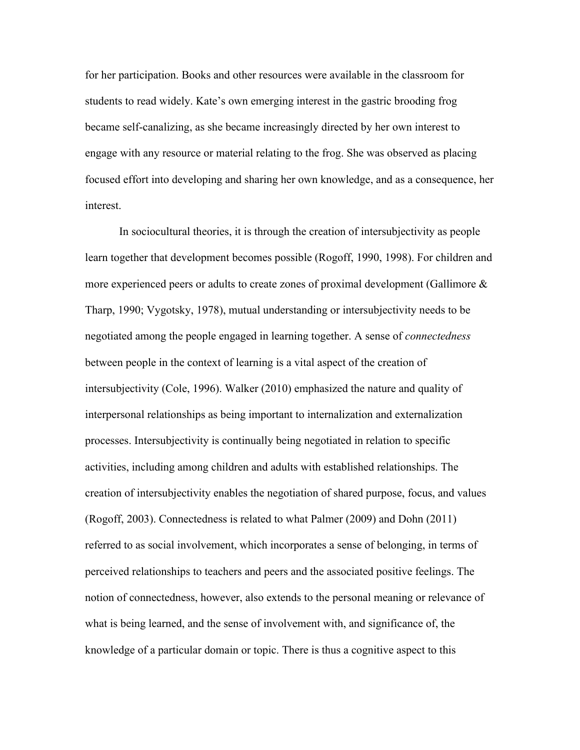for her participation. Books and other resources were available in the classroom for students to read widely. Kate's own emerging interest in the gastric brooding frog became self-canalizing, as she became increasingly directed by her own interest to engage with any resource or material relating to the frog. She was observed as placing focused effort into developing and sharing her own knowledge, and as a consequence, her interest.

In sociocultural theories, it is through the creation of intersubjectivity as people learn together that development becomes possible (Rogoff, 1990, 1998). For children and more experienced peers or adults to create zones of proximal development (Gallimore  $\&$ Tharp, 1990; Vygotsky, 1978), mutual understanding or intersubjectivity needs to be negotiated among the people engaged in learning together. A sense of *connectedness* between people in the context of learning is a vital aspect of the creation of intersubjectivity (Cole, 1996). Walker (2010) emphasized the nature and quality of interpersonal relationships as being important to internalization and externalization processes. Intersubjectivity is continually being negotiated in relation to specific activities, including among children and adults with established relationships. The creation of intersubjectivity enables the negotiation of shared purpose, focus, and values (Rogoff, 2003). Connectedness is related to what Palmer (2009) and Dohn (2011) referred to as social involvement, which incorporates a sense of belonging, in terms of perceived relationships to teachers and peers and the associated positive feelings. The notion of connectedness, however, also extends to the personal meaning or relevance of what is being learned, and the sense of involvement with, and significance of, the knowledge of a particular domain or topic. There is thus a cognitive aspect to this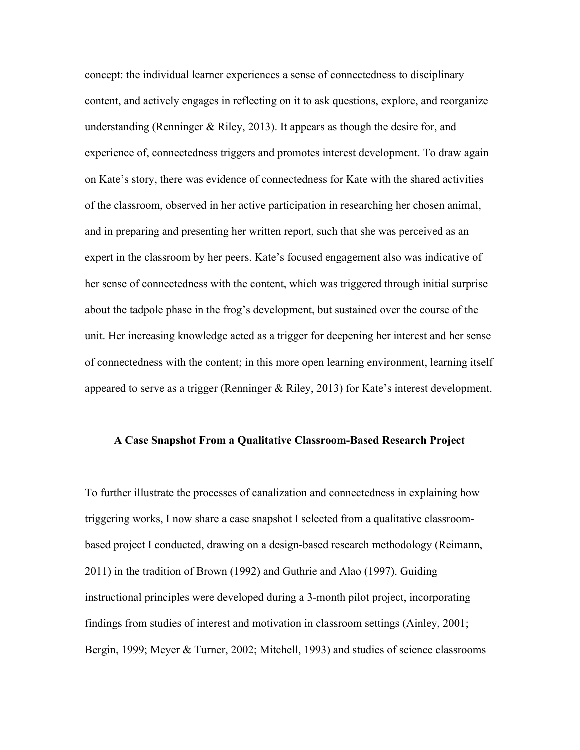concept: the individual learner experiences a sense of connectedness to disciplinary content, and actively engages in reflecting on it to ask questions, explore, and reorganize understanding (Renninger & Riley, 2013). It appears as though the desire for, and experience of, connectedness triggers and promotes interest development. To draw again on Kate's story, there was evidence of connectedness for Kate with the shared activities of the classroom, observed in her active participation in researching her chosen animal, and in preparing and presenting her written report, such that she was perceived as an expert in the classroom by her peers. Kate's focused engagement also was indicative of her sense of connectedness with the content, which was triggered through initial surprise about the tadpole phase in the frog's development, but sustained over the course of the unit. Her increasing knowledge acted as a trigger for deepening her interest and her sense of connectedness with the content; in this more open learning environment, learning itself appeared to serve as a trigger (Renninger & Riley, 2013) for Kate's interest development.

# **A Case Snapshot From a Qualitative Classroom-Based Research Project**

To further illustrate the processes of canalization and connectedness in explaining how triggering works, I now share a case snapshot I selected from a qualitative classroombased project I conducted, drawing on a design-based research methodology (Reimann, 2011) in the tradition of Brown (1992) and Guthrie and Alao (1997). Guiding instructional principles were developed during a 3-month pilot project, incorporating findings from studies of interest and motivation in classroom settings (Ainley, 2001; Bergin, 1999; Meyer & Turner, 2002; Mitchell, 1993) and studies of science classrooms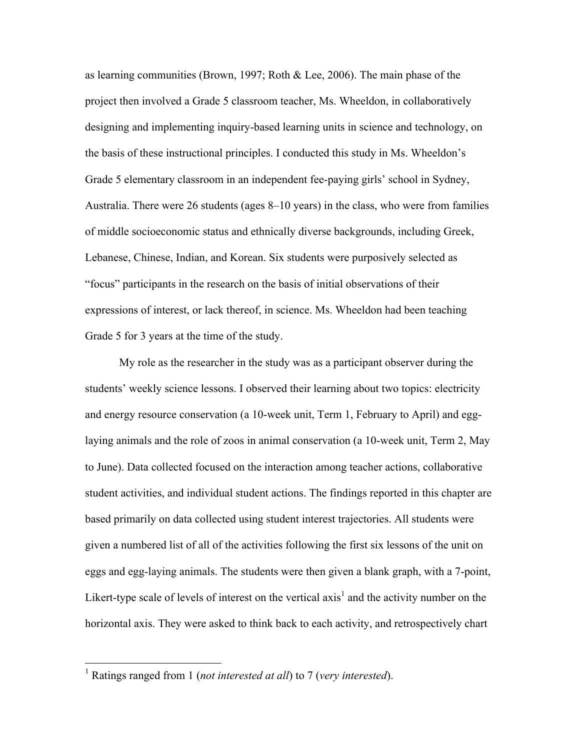as learning communities (Brown, 1997; Roth & Lee, 2006). The main phase of the project then involved a Grade 5 classroom teacher, Ms. Wheeldon, in collaboratively designing and implementing inquiry-based learning units in science and technology, on the basis of these instructional principles. I conducted this study in Ms. Wheeldon's Grade 5 elementary classroom in an independent fee-paying girls' school in Sydney, Australia. There were 26 students (ages 8–10 years) in the class, who were from families of middle socioeconomic status and ethnically diverse backgrounds, including Greek, Lebanese, Chinese, Indian, and Korean. Six students were purposively selected as "focus" participants in the research on the basis of initial observations of their expressions of interest, or lack thereof, in science. Ms. Wheeldon had been teaching Grade 5 for 3 years at the time of the study.

My role as the researcher in the study was as a participant observer during the students' weekly science lessons. I observed their learning about two topics: electricity and energy resource conservation (a 10-week unit, Term 1, February to April) and egglaying animals and the role of zoos in animal conservation (a 10-week unit, Term 2, May to June). Data collected focused on the interaction among teacher actions, collaborative student activities, and individual student actions. The findings reported in this chapter are based primarily on data collected using student interest trajectories. All students were given a numbered list of all of the activities following the first six lessons of the unit on eggs and egg-laying animals. The students were then given a blank graph, with a 7-point, Likert-type scale of levels of interest on the vertical  $axis<sup>1</sup>$  and the activity number on the horizontal axis. They were asked to think back to each activity, and retrospectively chart

 <sup>1</sup> Ratings ranged from 1 (*not interested at all*) to 7 (*very interested*).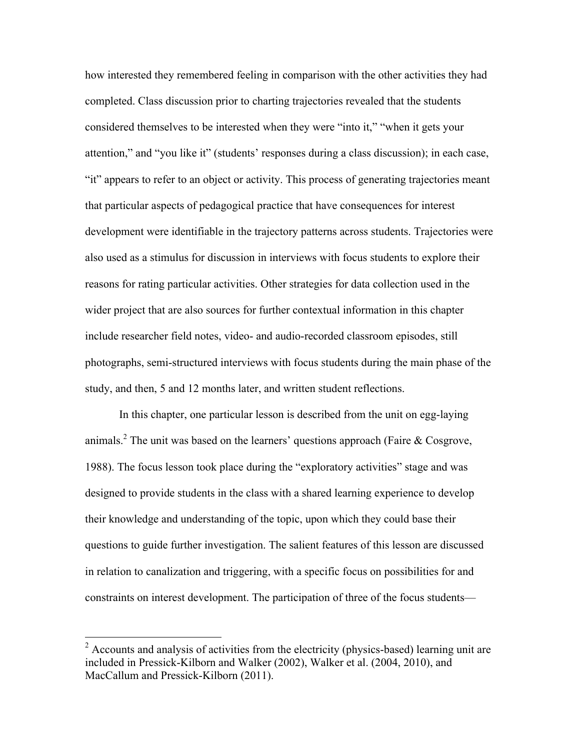how interested they remembered feeling in comparison with the other activities they had completed. Class discussion prior to charting trajectories revealed that the students considered themselves to be interested when they were "into it," "when it gets your attention," and "you like it" (students' responses during a class discussion); in each case, "it" appears to refer to an object or activity. This process of generating trajectories meant that particular aspects of pedagogical practice that have consequences for interest development were identifiable in the trajectory patterns across students. Trajectories were also used as a stimulus for discussion in interviews with focus students to explore their reasons for rating particular activities. Other strategies for data collection used in the wider project that are also sources for further contextual information in this chapter include researcher field notes, video- and audio-recorded classroom episodes, still photographs, semi-structured interviews with focus students during the main phase of the study, and then, 5 and 12 months later, and written student reflections.

In this chapter, one particular lesson is described from the unit on egg-laying animals.<sup>2</sup> The unit was based on the learners' questions approach (Faire & Cosgrove, 1988). The focus lesson took place during the "exploratory activities" stage and was designed to provide students in the class with a shared learning experience to develop their knowledge and understanding of the topic, upon which they could base their questions to guide further investigation. The salient features of this lesson are discussed in relation to canalization and triggering, with a specific focus on possibilities for and constraints on interest development. The participation of three of the focus students—

 $2 \text{ Accounts}$  and analysis of activities from the electricity (physics-based) learning unit are included in Pressick-Kilborn and Walker (2002), Walker et al. (2004, 2010), and MacCallum and Pressick-Kilborn (2011).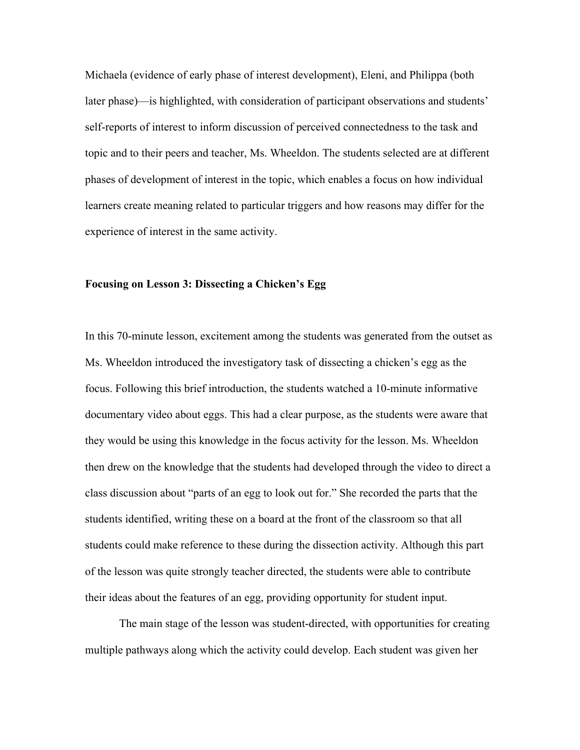Michaela (evidence of early phase of interest development), Eleni, and Philippa (both later phase)—is highlighted, with consideration of participant observations and students' self-reports of interest to inform discussion of perceived connectedness to the task and topic and to their peers and teacher, Ms. Wheeldon. The students selected are at different phases of development of interest in the topic, which enables a focus on how individual learners create meaning related to particular triggers and how reasons may differ for the experience of interest in the same activity.

# **Focusing on Lesson 3: Dissecting a Chicken's Egg**

In this 70-minute lesson, excitement among the students was generated from the outset as Ms. Wheeldon introduced the investigatory task of dissecting a chicken's egg as the focus. Following this brief introduction, the students watched a 10-minute informative documentary video about eggs. This had a clear purpose, as the students were aware that they would be using this knowledge in the focus activity for the lesson. Ms. Wheeldon then drew on the knowledge that the students had developed through the video to direct a class discussion about "parts of an egg to look out for." She recorded the parts that the students identified, writing these on a board at the front of the classroom so that all students could make reference to these during the dissection activity. Although this part of the lesson was quite strongly teacher directed, the students were able to contribute their ideas about the features of an egg, providing opportunity for student input.

The main stage of the lesson was student-directed, with opportunities for creating multiple pathways along which the activity could develop. Each student was given her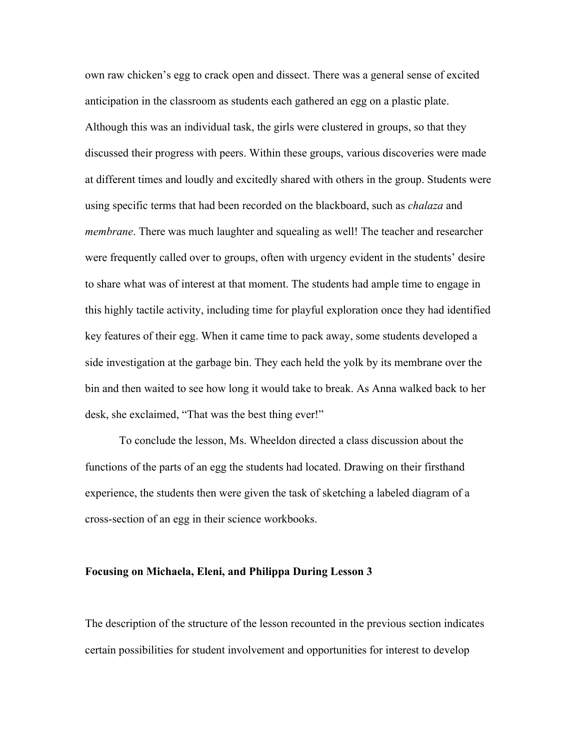own raw chicken's egg to crack open and dissect. There was a general sense of excited anticipation in the classroom as students each gathered an egg on a plastic plate. Although this was an individual task, the girls were clustered in groups, so that they discussed their progress with peers. Within these groups, various discoveries were made at different times and loudly and excitedly shared with others in the group. Students were using specific terms that had been recorded on the blackboard, such as *chalaza* and *membrane*. There was much laughter and squealing as well! The teacher and researcher were frequently called over to groups, often with urgency evident in the students' desire to share what was of interest at that moment. The students had ample time to engage in this highly tactile activity, including time for playful exploration once they had identified key features of their egg. When it came time to pack away, some students developed a side investigation at the garbage bin. They each held the yolk by its membrane over the bin and then waited to see how long it would take to break. As Anna walked back to her desk, she exclaimed, "That was the best thing ever!"

To conclude the lesson, Ms. Wheeldon directed a class discussion about the functions of the parts of an egg the students had located. Drawing on their firsthand experience, the students then were given the task of sketching a labeled diagram of a cross-section of an egg in their science workbooks.

#### **Focusing on Michaela, Eleni, and Philippa During Lesson 3**

The description of the structure of the lesson recounted in the previous section indicates certain possibilities for student involvement and opportunities for interest to develop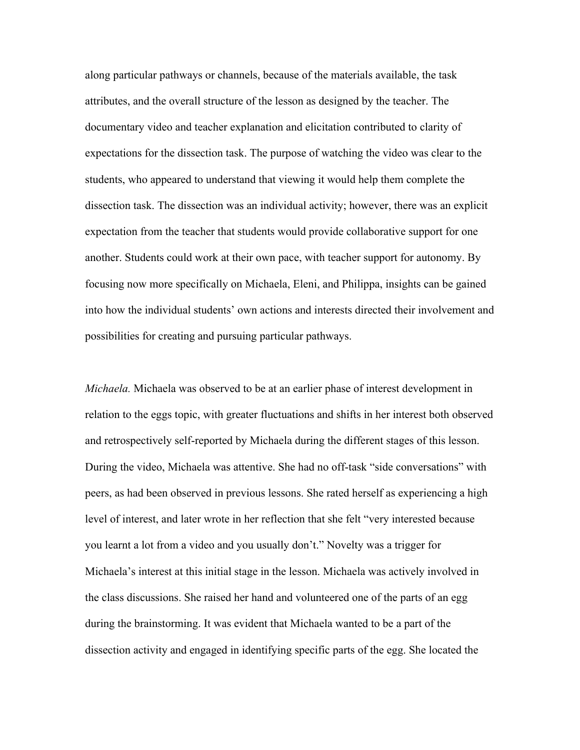along particular pathways or channels, because of the materials available, the task attributes, and the overall structure of the lesson as designed by the teacher. The documentary video and teacher explanation and elicitation contributed to clarity of expectations for the dissection task. The purpose of watching the video was clear to the students, who appeared to understand that viewing it would help them complete the dissection task. The dissection was an individual activity; however, there was an explicit expectation from the teacher that students would provide collaborative support for one another. Students could work at their own pace, with teacher support for autonomy. By focusing now more specifically on Michaela, Eleni, and Philippa, insights can be gained into how the individual students' own actions and interests directed their involvement and possibilities for creating and pursuing particular pathways.

*Michaela.* Michaela was observed to be at an earlier phase of interest development in relation to the eggs topic, with greater fluctuations and shifts in her interest both observed and retrospectively self-reported by Michaela during the different stages of this lesson. During the video, Michaela was attentive. She had no off-task "side conversations" with peers, as had been observed in previous lessons. She rated herself as experiencing a high level of interest, and later wrote in her reflection that she felt "very interested because you learnt a lot from a video and you usually don't." Novelty was a trigger for Michaela's interest at this initial stage in the lesson. Michaela was actively involved in the class discussions. She raised her hand and volunteered one of the parts of an egg during the brainstorming. It was evident that Michaela wanted to be a part of the dissection activity and engaged in identifying specific parts of the egg. She located the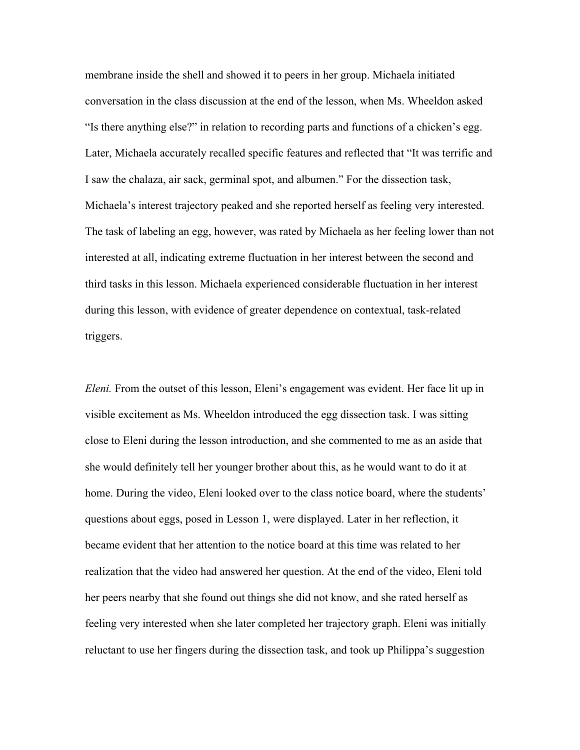membrane inside the shell and showed it to peers in her group. Michaela initiated conversation in the class discussion at the end of the lesson, when Ms. Wheeldon asked "Is there anything else?" in relation to recording parts and functions of a chicken's egg. Later, Michaela accurately recalled specific features and reflected that "It was terrific and I saw the chalaza, air sack, germinal spot, and albumen." For the dissection task, Michaela's interest trajectory peaked and she reported herself as feeling very interested. The task of labeling an egg, however, was rated by Michaela as her feeling lower than not interested at all, indicating extreme fluctuation in her interest between the second and third tasks in this lesson. Michaela experienced considerable fluctuation in her interest during this lesson, with evidence of greater dependence on contextual, task-related triggers.

*Eleni.* From the outset of this lesson, Eleni's engagement was evident. Her face lit up in visible excitement as Ms. Wheeldon introduced the egg dissection task. I was sitting close to Eleni during the lesson introduction, and she commented to me as an aside that she would definitely tell her younger brother about this, as he would want to do it at home. During the video, Eleni looked over to the class notice board, where the students' questions about eggs, posed in Lesson 1, were displayed. Later in her reflection, it became evident that her attention to the notice board at this time was related to her realization that the video had answered her question. At the end of the video, Eleni told her peers nearby that she found out things she did not know, and she rated herself as feeling very interested when she later completed her trajectory graph. Eleni was initially reluctant to use her fingers during the dissection task, and took up Philippa's suggestion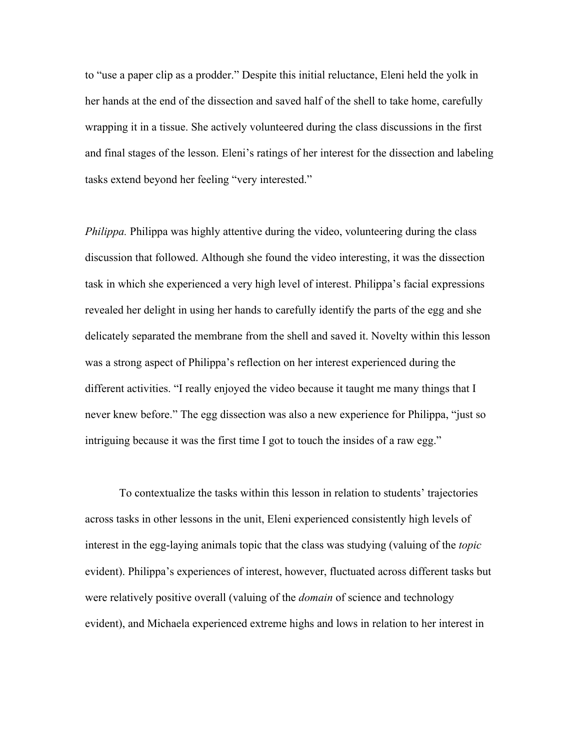to "use a paper clip as a prodder." Despite this initial reluctance, Eleni held the yolk in her hands at the end of the dissection and saved half of the shell to take home, carefully wrapping it in a tissue. She actively volunteered during the class discussions in the first and final stages of the lesson. Eleni's ratings of her interest for the dissection and labeling tasks extend beyond her feeling "very interested."

*Philippa.* Philippa was highly attentive during the video, volunteering during the class discussion that followed. Although she found the video interesting, it was the dissection task in which she experienced a very high level of interest. Philippa's facial expressions revealed her delight in using her hands to carefully identify the parts of the egg and she delicately separated the membrane from the shell and saved it. Novelty within this lesson was a strong aspect of Philippa's reflection on her interest experienced during the different activities. "I really enjoyed the video because it taught me many things that I never knew before." The egg dissection was also a new experience for Philippa, "just so intriguing because it was the first time I got to touch the insides of a raw egg."

To contextualize the tasks within this lesson in relation to students' trajectories across tasks in other lessons in the unit, Eleni experienced consistently high levels of interest in the egg-laying animals topic that the class was studying (valuing of the *topic* evident). Philippa's experiences of interest, however, fluctuated across different tasks but were relatively positive overall (valuing of the *domain* of science and technology evident), and Michaela experienced extreme highs and lows in relation to her interest in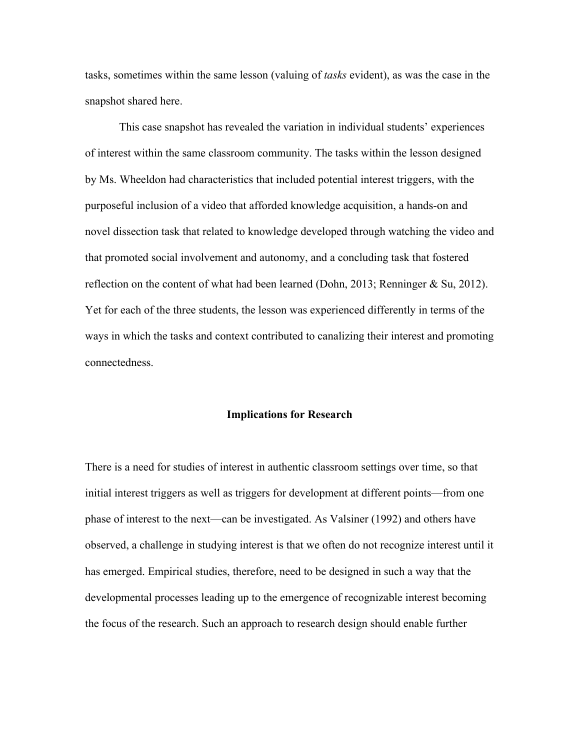tasks, sometimes within the same lesson (valuing of *tasks* evident), as was the case in the snapshot shared here.

This case snapshot has revealed the variation in individual students' experiences of interest within the same classroom community. The tasks within the lesson designed by Ms. Wheeldon had characteristics that included potential interest triggers, with the purposeful inclusion of a video that afforded knowledge acquisition, a hands-on and novel dissection task that related to knowledge developed through watching the video and that promoted social involvement and autonomy, and a concluding task that fostered reflection on the content of what had been learned (Dohn, 2013; Renninger & Su, 2012). Yet for each of the three students, the lesson was experienced differently in terms of the ways in which the tasks and context contributed to canalizing their interest and promoting connectedness.

#### **Implications for Research**

There is a need for studies of interest in authentic classroom settings over time, so that initial interest triggers as well as triggers for development at different points—from one phase of interest to the next—can be investigated. As Valsiner (1992) and others have observed, a challenge in studying interest is that we often do not recognize interest until it has emerged. Empirical studies, therefore, need to be designed in such a way that the developmental processes leading up to the emergence of recognizable interest becoming the focus of the research. Such an approach to research design should enable further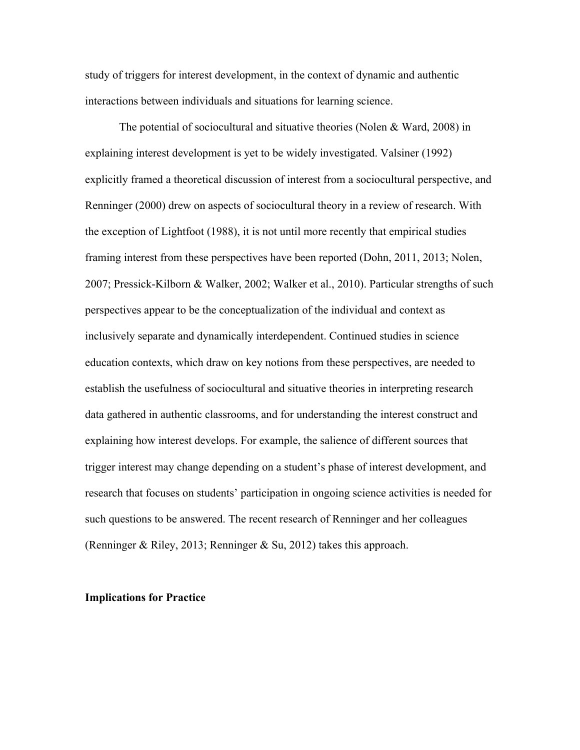study of triggers for interest development, in the context of dynamic and authentic interactions between individuals and situations for learning science.

The potential of sociocultural and situative theories (Nolen  $& Ward, 2008$ ) in explaining interest development is yet to be widely investigated. Valsiner (1992) explicitly framed a theoretical discussion of interest from a sociocultural perspective, and Renninger (2000) drew on aspects of sociocultural theory in a review of research. With the exception of Lightfoot (1988), it is not until more recently that empirical studies framing interest from these perspectives have been reported (Dohn, 2011, 2013; Nolen, 2007; Pressick-Kilborn & Walker, 2002; Walker et al., 2010). Particular strengths of such perspectives appear to be the conceptualization of the individual and context as inclusively separate and dynamically interdependent. Continued studies in science education contexts, which draw on key notions from these perspectives, are needed to establish the usefulness of sociocultural and situative theories in interpreting research data gathered in authentic classrooms, and for understanding the interest construct and explaining how interest develops. For example, the salience of different sources that trigger interest may change depending on a student's phase of interest development, and research that focuses on students' participation in ongoing science activities is needed for such questions to be answered. The recent research of Renninger and her colleagues (Renninger & Riley, 2013; Renninger & Su, 2012) takes this approach.

#### **Implications for Practice**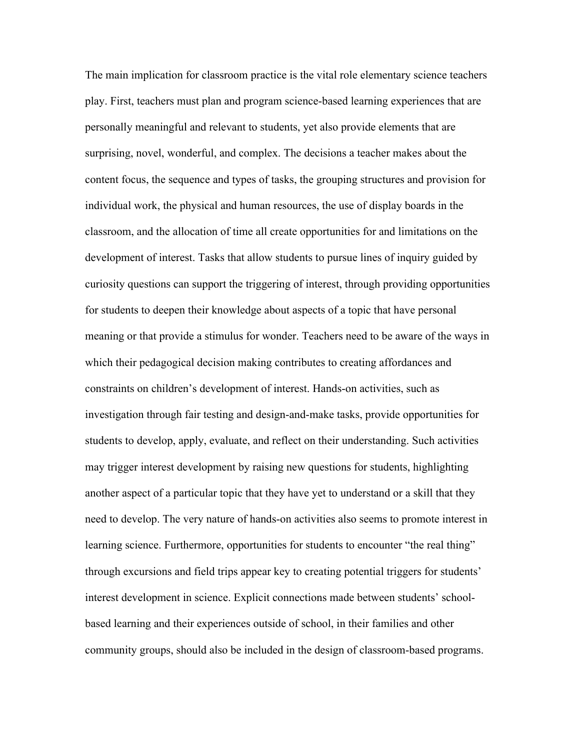The main implication for classroom practice is the vital role elementary science teachers play. First, teachers must plan and program science-based learning experiences that are personally meaningful and relevant to students, yet also provide elements that are surprising, novel, wonderful, and complex. The decisions a teacher makes about the content focus, the sequence and types of tasks, the grouping structures and provision for individual work, the physical and human resources, the use of display boards in the classroom, and the allocation of time all create opportunities for and limitations on the development of interest. Tasks that allow students to pursue lines of inquiry guided by curiosity questions can support the triggering of interest, through providing opportunities for students to deepen their knowledge about aspects of a topic that have personal meaning or that provide a stimulus for wonder. Teachers need to be aware of the ways in which their pedagogical decision making contributes to creating affordances and constraints on children's development of interest. Hands-on activities, such as investigation through fair testing and design-and-make tasks, provide opportunities for students to develop, apply, evaluate, and reflect on their understanding. Such activities may trigger interest development by raising new questions for students, highlighting another aspect of a particular topic that they have yet to understand or a skill that they need to develop. The very nature of hands-on activities also seems to promote interest in learning science. Furthermore, opportunities for students to encounter "the real thing" through excursions and field trips appear key to creating potential triggers for students' interest development in science. Explicit connections made between students' schoolbased learning and their experiences outside of school, in their families and other community groups, should also be included in the design of classroom-based programs.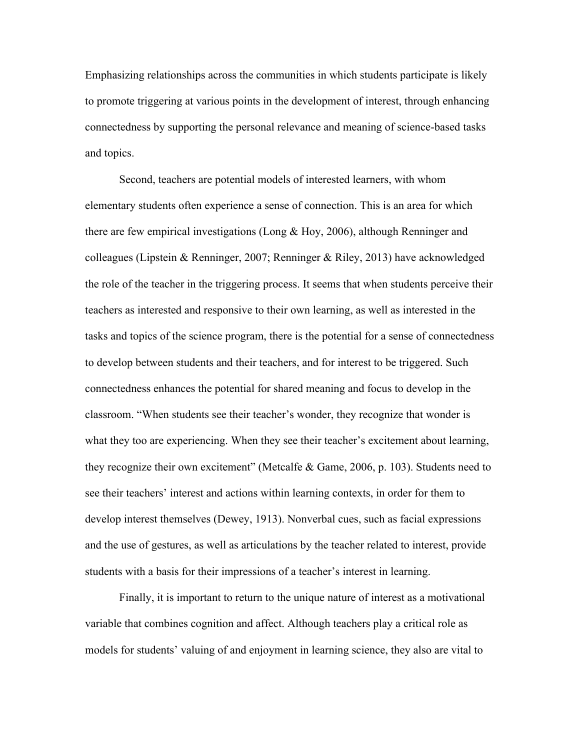Emphasizing relationships across the communities in which students participate is likely to promote triggering at various points in the development of interest, through enhancing connectedness by supporting the personal relevance and meaning of science-based tasks and topics.

Second, teachers are potential models of interested learners, with whom elementary students often experience a sense of connection. This is an area for which there are few empirical investigations (Long & Hoy, 2006), although Renninger and colleagues (Lipstein & Renninger, 2007; Renninger & Riley, 2013) have acknowledged the role of the teacher in the triggering process. It seems that when students perceive their teachers as interested and responsive to their own learning, as well as interested in the tasks and topics of the science program, there is the potential for a sense of connectedness to develop between students and their teachers, and for interest to be triggered. Such connectedness enhances the potential for shared meaning and focus to develop in the classroom. "When students see their teacher's wonder, they recognize that wonder is what they too are experiencing. When they see their teacher's excitement about learning, they recognize their own excitement" (Metcalfe & Game, 2006, p. 103). Students need to see their teachers' interest and actions within learning contexts, in order for them to develop interest themselves (Dewey, 1913). Nonverbal cues, such as facial expressions and the use of gestures, as well as articulations by the teacher related to interest, provide students with a basis for their impressions of a teacher's interest in learning.

Finally, it is important to return to the unique nature of interest as a motivational variable that combines cognition and affect. Although teachers play a critical role as models for students' valuing of and enjoyment in learning science, they also are vital to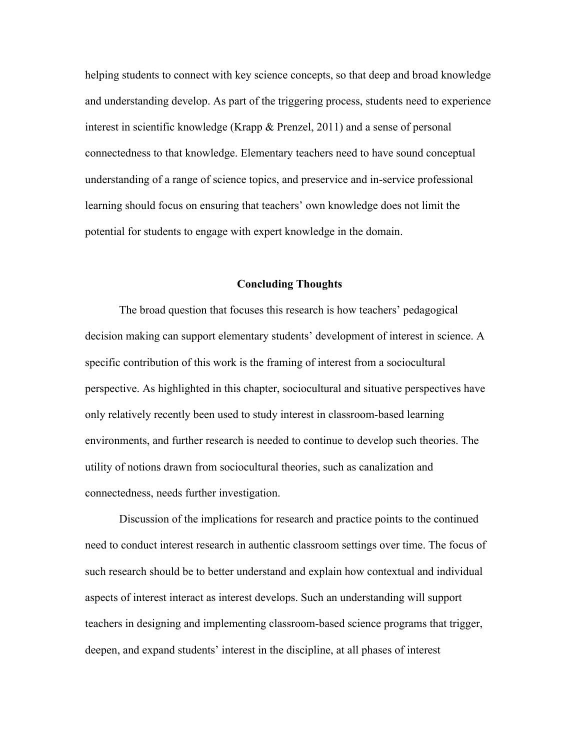helping students to connect with key science concepts, so that deep and broad knowledge and understanding develop. As part of the triggering process, students need to experience interest in scientific knowledge (Krapp & Prenzel, 2011) and a sense of personal connectedness to that knowledge. Elementary teachers need to have sound conceptual understanding of a range of science topics, and preservice and in-service professional learning should focus on ensuring that teachers' own knowledge does not limit the potential for students to engage with expert knowledge in the domain.

# **Concluding Thoughts**

The broad question that focuses this research is how teachers' pedagogical decision making can support elementary students' development of interest in science. A specific contribution of this work is the framing of interest from a sociocultural perspective. As highlighted in this chapter, sociocultural and situative perspectives have only relatively recently been used to study interest in classroom-based learning environments, and further research is needed to continue to develop such theories. The utility of notions drawn from sociocultural theories, such as canalization and connectedness, needs further investigation.

Discussion of the implications for research and practice points to the continued need to conduct interest research in authentic classroom settings over time. The focus of such research should be to better understand and explain how contextual and individual aspects of interest interact as interest develops. Such an understanding will support teachers in designing and implementing classroom-based science programs that trigger, deepen, and expand students' interest in the discipline, at all phases of interest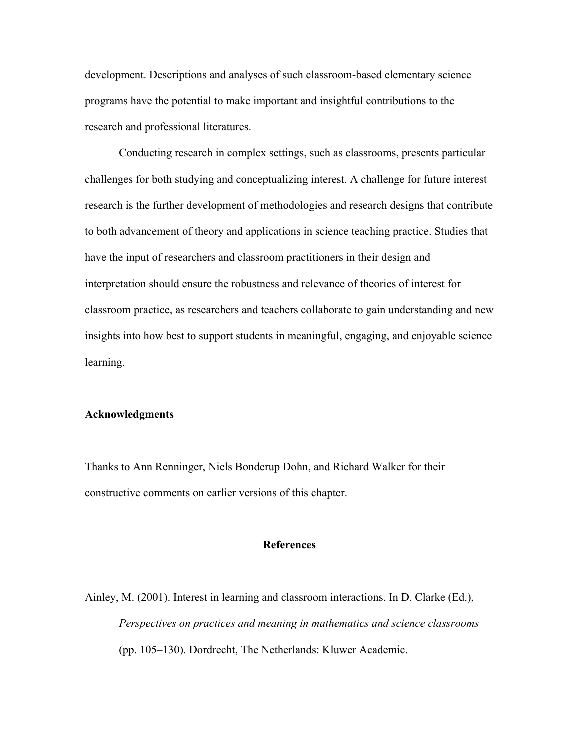development. Descriptions and analyses of such classroom-based elementary science programs have the potential to make important and insightful contributions to the research and professional literatures.

Conducting research in complex settings, such as classrooms, presents particular challenges for both studying and conceptualizing interest. A challenge for future interest research is the further development of methodologies and research designs that contribute to both advancement of theory and applications in science teaching practice. Studies that have the input of researchers and classroom practitioners in their design and interpretation should ensure the robustness and relevance of theories of interest for classroom practice, as researchers and teachers collaborate to gain understanding and new insights into how best to support students in meaningful, engaging, and enjoyable science learning.

# **Acknowledgments**

Thanks to Ann Renninger, Niels Bonderup Dohn, and Richard Walker for their constructive comments on earlier versions of this chapter.

# **References**

Ainley, M. (2001). Interest in learning and classroom interactions. In D. Clarke (Ed.), *Perspectives on practices and meaning in mathematics and science classrooms* (pp. 105–130). Dordrecht, The Netherlands: Kluwer Academic.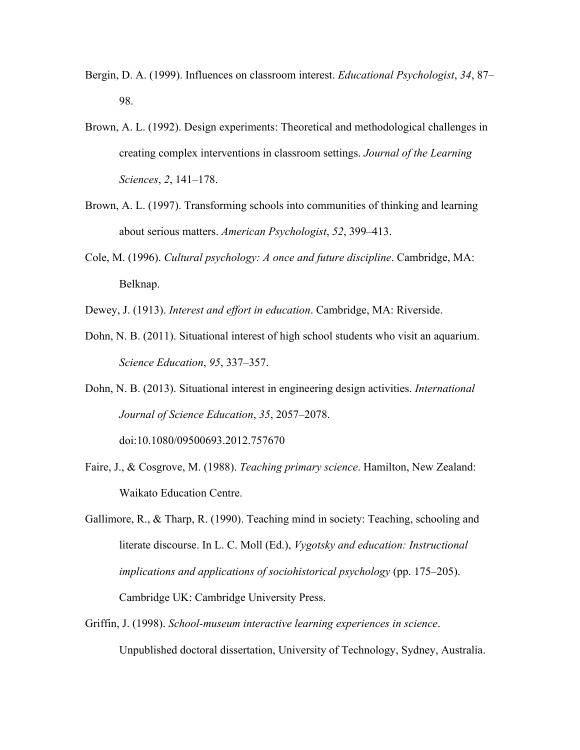- Bergin, D. A. (1999). Influences on classroom interest. *Educational Psychologist*, *34*, 87– 98.
- Brown, A. L. (1992). Design experiments: Theoretical and methodological challenges in creating complex interventions in classroom settings. *Journal of the Learning Sciences*, *2*, 141–178.
- Brown, A. L. (1997). Transforming schools into communities of thinking and learning about serious matters. *American Psychologist*, *52*, 399–413.
- Cole, M. (1996). *Cultural psychology: A once and future discipline*. Cambridge, MA: Belknap.
- Dewey, J. (1913). *Interest and effort in education*. Cambridge, MA: Riverside.
- Dohn, N. B. (2011). Situational interest of high school students who visit an aquarium. *Science Education*, *95*, 337–357.
- Dohn, N. B. (2013). Situational interest in engineering design activities. *International Journal of Science Education*, *35*, 2057–2078. doi:10.1080/09500693.2012.757670
- Faire, J., & Cosgrove, M. (1988). *Teaching primary science*. Hamilton, New Zealand: Waikato Education Centre.
- Gallimore, R., & Tharp, R. (1990). Teaching mind in society: Teaching, schooling and literate discourse. In L. C. Moll (Ed.), *Vygotsky and education: Instructional implications and applications of sociohistorical psychology* (pp. 175–205). Cambridge UK: Cambridge University Press.
- Griffin, J. (1998). *School-museum interactive learning experiences in science*. Unpublished doctoral dissertation, University of Technology, Sydney, Australia.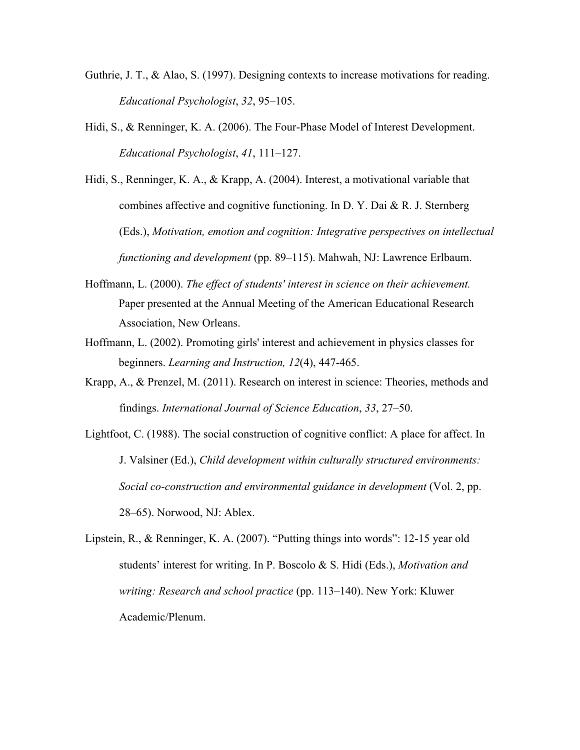- Guthrie, J. T., & Alao, S. (1997). Designing contexts to increase motivations for reading. *Educational Psychologist*, *32*, 95–105.
- Hidi, S., & Renninger, K. A. (2006). The Four-Phase Model of Interest Development. *Educational Psychologist*, *41*, 111–127.
- Hidi, S., Renninger, K. A., & Krapp, A. (2004). Interest, a motivational variable that combines affective and cognitive functioning. In D. Y. Dai & R. J. Sternberg (Eds.), *Motivation, emotion and cognition: Integrative perspectives on intellectual functioning and development* (pp. 89–115). Mahwah, NJ: Lawrence Erlbaum.
- Hoffmann, L. (2000). *The effect of students' interest in science on their achievement.*  Paper presented at the Annual Meeting of the American Educational Research Association, New Orleans.
- Hoffmann, L. (2002). Promoting girls' interest and achievement in physics classes for beginners. *Learning and Instruction, 12*(4), 447-465.
- Krapp, A., & Prenzel, M. (2011). Research on interest in science: Theories, methods and findings. *International Journal of Science Education*, *33*, 27–50.
- Lightfoot, C. (1988). The social construction of cognitive conflict: A place for affect. In J. Valsiner (Ed.), *Child development within culturally structured environments: Social co-construction and environmental guidance in development* (Vol. 2, pp. 28–65). Norwood, NJ: Ablex.
- Lipstein, R., & Renninger, K. A. (2007). "Putting things into words": 12-15 year old students' interest for writing. In P. Boscolo & S. Hidi (Eds.), *Motivation and writing: Research and school practice* (pp. 113–140). New York: Kluwer Academic/Plenum.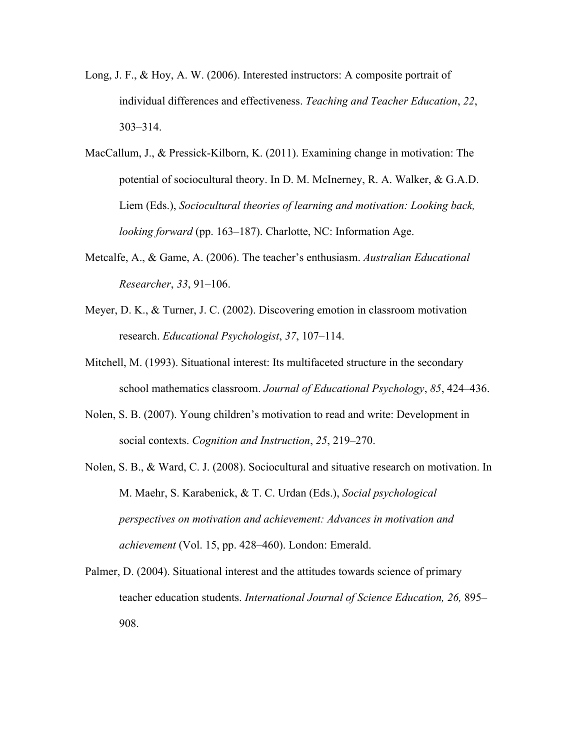- Long, J. F., & Hoy, A. W. (2006). Interested instructors: A composite portrait of individual differences and effectiveness. *Teaching and Teacher Education*, *22*, 303–314.
- MacCallum, J., & Pressick-Kilborn, K. (2011). Examining change in motivation: The potential of sociocultural theory. In D. M. McInerney, R. A. Walker, & G.A.D. Liem (Eds.), *Sociocultural theories of learning and motivation: Looking back, looking forward* (pp. 163–187). Charlotte, NC: Information Age.
- Metcalfe, A., & Game, A. (2006). The teacher's enthusiasm. *Australian Educational Researcher*, *33*, 91–106.
- Meyer, D. K., & Turner, J. C. (2002). Discovering emotion in classroom motivation research. *Educational Psychologist*, *37*, 107–114.
- Mitchell, M. (1993). Situational interest: Its multifaceted structure in the secondary school mathematics classroom. *Journal of Educational Psychology*, *85*, 424–436.
- Nolen, S. B. (2007). Young children's motivation to read and write: Development in social contexts. *Cognition and Instruction*, *25*, 219–270.
- Nolen, S. B., & Ward, C. J. (2008). Sociocultural and situative research on motivation. In M. Maehr, S. Karabenick, & T. C. Urdan (Eds.), *Social psychological perspectives on motivation and achievement: Advances in motivation and achievement* (Vol. 15, pp. 428–460). London: Emerald.
- Palmer, D. (2004). Situational interest and the attitudes towards science of primary teacher education students. *International Journal of Science Education, 26,* 895– 908.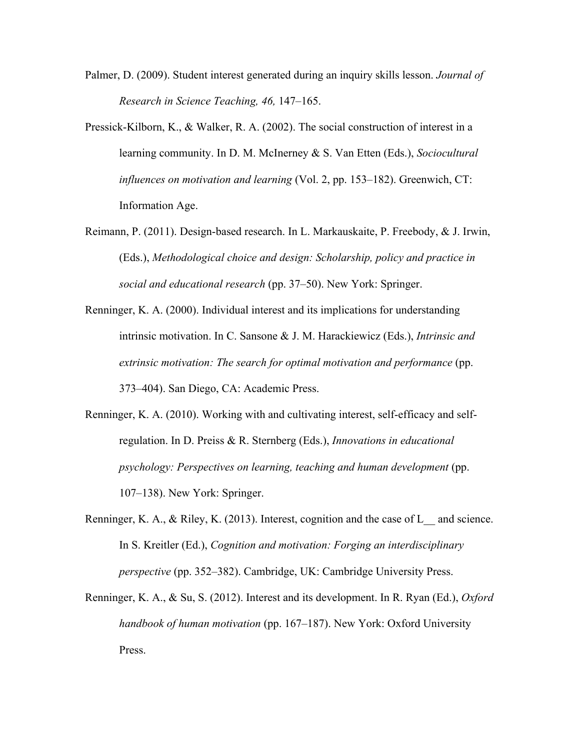- Palmer, D. (2009). Student interest generated during an inquiry skills lesson. *Journal of Research in Science Teaching, 46,* 147–165.
- Pressick-Kilborn, K., & Walker, R. A. (2002). The social construction of interest in a learning community. In D. M. McInerney & S. Van Etten (Eds.), *Sociocultural influences on motivation and learning* (Vol. 2, pp. 153–182). Greenwich, CT: Information Age.
- Reimann, P. (2011). Design-based research. In L. Markauskaite, P. Freebody, & J. Irwin, (Eds.), *Methodological choice and design: Scholarship, policy and practice in social and educational research* (pp. 37–50). New York: Springer.
- Renninger, K. A. (2000). Individual interest and its implications for understanding intrinsic motivation. In C. Sansone & J. M. Harackiewicz (Eds.), *Intrinsic and extrinsic motivation: The search for optimal motivation and performance* (pp. 373–404). San Diego, CA: Academic Press.
- Renninger, K. A. (2010). Working with and cultivating interest, self-efficacy and selfregulation. In D. Preiss & R. Sternberg (Eds.), *Innovations in educational psychology: Perspectives on learning, teaching and human development* (pp. 107–138). New York: Springer.
- Renninger, K. A., & Riley, K. (2013). Interest, cognition and the case of L\_\_ and science. In S. Kreitler (Ed.), *Cognition and motivation: Forging an interdisciplinary perspective* (pp. 352–382). Cambridge, UK: Cambridge University Press.
- Renninger, K. A., & Su, S. (2012). Interest and its development. In R. Ryan (Ed.), *Oxford handbook of human motivation* (pp. 167–187). New York: Oxford University Press.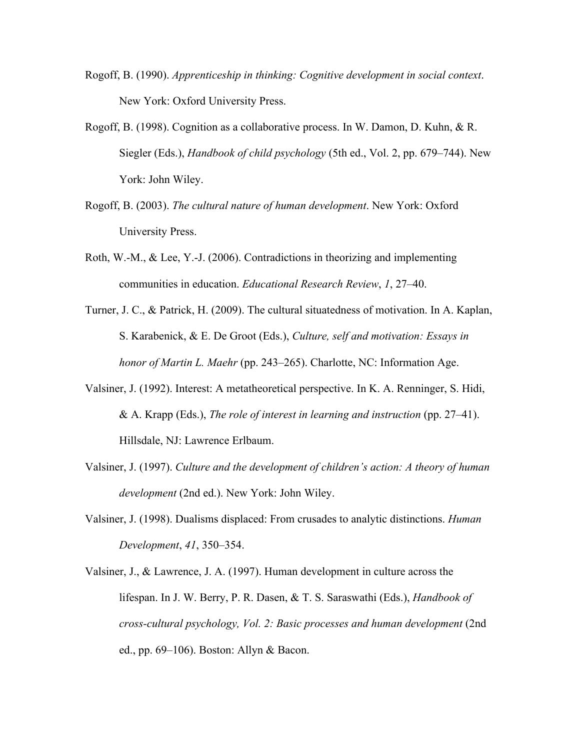- Rogoff, B. (1990). *Apprenticeship in thinking: Cognitive development in social context*. New York: Oxford University Press.
- Rogoff, B. (1998). Cognition as a collaborative process. In W. Damon, D. Kuhn, & R. Siegler (Eds.), *Handbook of child psychology* (5th ed., Vol. 2, pp. 679–744). New York: John Wiley.
- Rogoff, B. (2003). *The cultural nature of human development*. New York: Oxford University Press.
- Roth, W.-M., & Lee, Y.-J. (2006). Contradictions in theorizing and implementing communities in education. *Educational Research Review*, *1*, 27–40.
- Turner, J. C., & Patrick, H. (2009). The cultural situatedness of motivation. In A. Kaplan, S. Karabenick, & E. De Groot (Eds.), *Culture, self and motivation: Essays in honor of Martin L. Maehr* (pp. 243–265). Charlotte, NC: Information Age.
- Valsiner, J. (1992). Interest: A metatheoretical perspective. In K. A. Renninger, S. Hidi, & A. Krapp (Eds.), *The role of interest in learning and instruction* (pp. 27–41). Hillsdale, NJ: Lawrence Erlbaum.
- Valsiner, J. (1997). *Culture and the development of children's action: A theory of human development* (2nd ed.). New York: John Wiley.
- Valsiner, J. (1998). Dualisms displaced: From crusades to analytic distinctions. *Human Development*, *41*, 350–354.
- Valsiner, J., & Lawrence, J. A. (1997). Human development in culture across the lifespan. In J. W. Berry, P. R. Dasen, & T. S. Saraswathi (Eds.), *Handbook of cross-cultural psychology, Vol. 2: Basic processes and human development* (2nd ed., pp. 69–106). Boston: Allyn & Bacon.